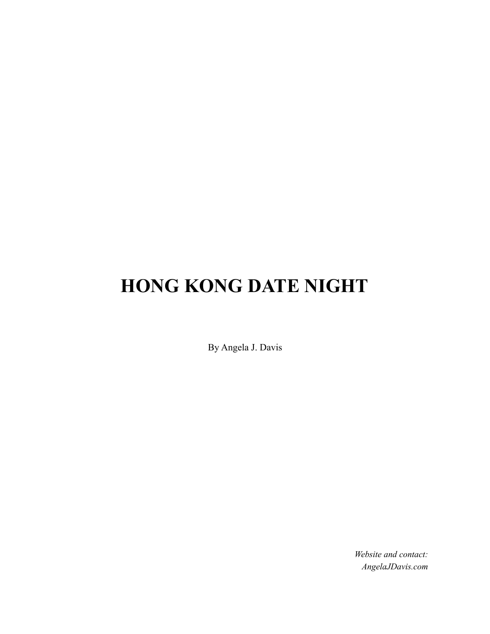# **HONG KONG DATE NIGHT**

By Angela J. Davis

*Website and contact: AngelaJDavis.com*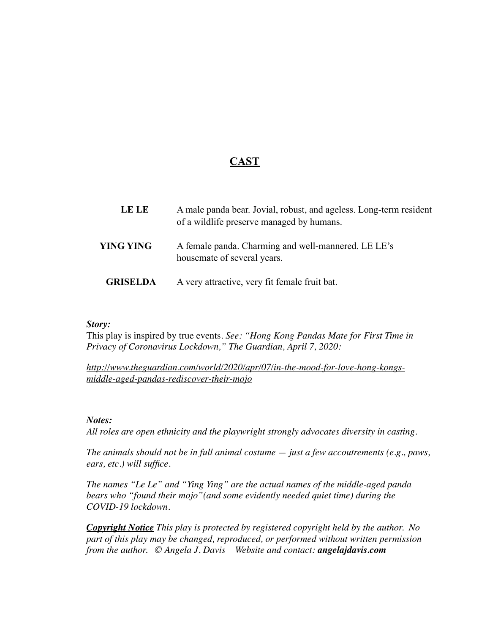# **CAST**

| <b>LE LE</b>     | A male panda bear. Jovial, robust, and ageless. Long-term resident<br>of a wildlife preserve managed by humans. |
|------------------|-----------------------------------------------------------------------------------------------------------------|
| <b>YING YING</b> | A female panda. Charming and well-mannered. LE LE's<br>housemate of several years.                              |
| <b>GRISELDA</b>  | A very attractive, very fit female fruit bat.                                                                   |

#### *Story:*

This play is inspired by true events*. See: "Hong Kong Pandas Mate for First Time in Privacy of Coronavirus Lockdown," The Guardian, April 7, 2020:* 

*[http://www.theguardian.com/world/2020/apr/07/in-the-mood-for-love-hong-kongs](http://www.theguardian.com/world/2020/apr/07/in-the-mood-for-love-hong-kongs-)middle-aged-pandas-rediscover-their-mojo*

#### *Notes:*

*All roles are open ethnicity and the playwright strongly advocates diversity in casting.*

*The animals should not be in full animal costume — just a few accoutrements (e.g., paws, ears, etc.) will suffice.* 

*The names "Le Le" and "Ying Ying" are the actual names of the middle-aged panda bears who "found their mojo"(and some evidently needed quiet time) during the COVID-19 lockdown.*

*Copyright Notice This play is protected by registered copyright held by the author. No part of this play may be changed, reproduced, or performed without written permission from the author. © Angela J. Davis Website and contact: angelajdavis.com*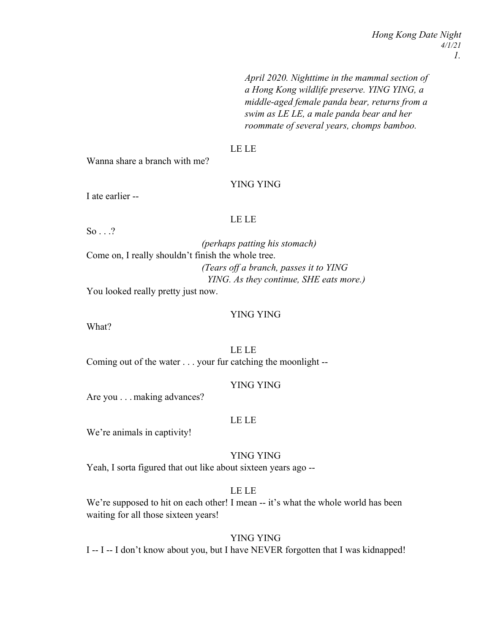*Hong Kong Date Night 4/1/21 1.*

*April 2020. Nighttime in the mammal section of a Hong Kong wildlife preserve. YING YING, a middle-aged female panda bear, returns from a swim as LE LE, a male panda bear and her roommate of several years, chomps bamboo.*

#### LE LE

Wanna share a branch with me?

# YING YING

I ate earlier --

# LE LE

So . . .?

*(perhaps patting his stomach)* Come on, I really shouldn't finish the whole tree. *(Tears off a branch, passes it to YING YING. As they continue, SHE eats more.)*

You looked really pretty just now.

#### YING YING

What?

LE LE Coming out of the water . . . your fur catching the moonlight --

#### YING YING

Are you . . . making advances?

#### LE LE

We're animals in captivity!

#### YING YING

Yeah, I sorta figured that out like about sixteen years ago --

# LE LE

We're supposed to hit on each other! I mean -- it's what the whole world has been waiting for all those sixteen years!

#### YING YING

I -- I -- I don't know about you, but I have NEVER forgotten that I was kidnapped!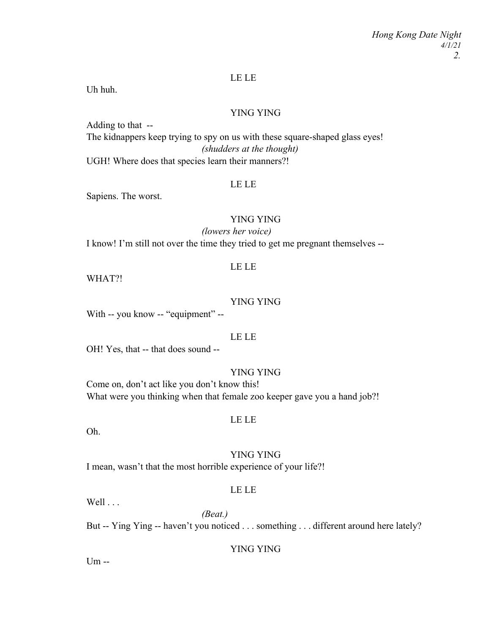# LE LE

Uh huh.

# YING YING

Adding to that -- The kidnappers keep trying to spy on us with these square-shaped glass eyes! *(shudders at the thought)* UGH! Where does that species learn their manners?!

#### LE LE

Sapiens. The worst.

# YING YING

*(lowers her voice)*

I know! I'm still not over the time they tried to get me pregnant themselves --

# LE LE

WHAT?!

#### YING YING

With -- you know -- "equipment" --

## LE LE

OH! Yes, that -- that does sound --

#### YING YING

Come on, don't act like you don't know this! What were you thinking when that female zoo keeper gave you a hand job?!

#### LE LE

Oh.

# YING YING

I mean, wasn't that the most horrible experience of your life?!

# LE LE

Well . . .

*(Beat.)* But -- Ying Ying -- haven't you noticed . . . something . . . different around here lately?

# YING YING

Um --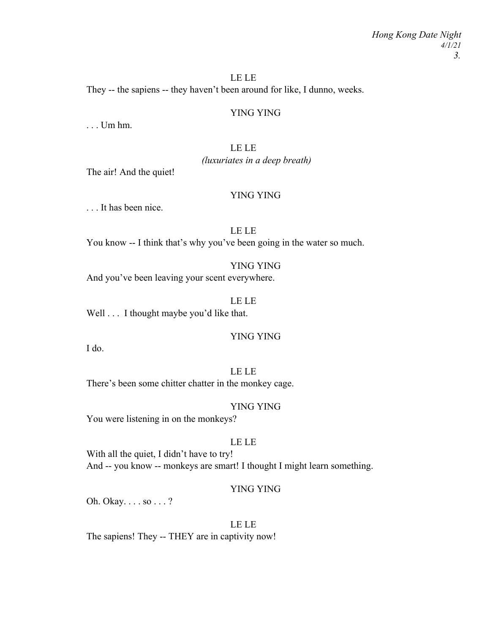# LE LE

They -- the sapiens -- they haven't been around for like, I dunno, weeks.

# YING YING

. . . Um hm.

# LE LE

*(luxuriates in a deep breath)*

The air! And the quiet!

# YING YING

. . . It has been nice.

# LE LE

You know -- I think that's why you've been going in the water so much.

#### YING YING

And you've been leaving your scent everywhere.

#### LE LE

Well . . . I thought maybe you'd like that.

#### YING YING

I do.

# LE LE

There's been some chitter chatter in the monkey cage.

## YING YING

You were listening in on the monkeys?

# LE LE

With all the quiet, I didn't have to try! And -- you know -- monkeys are smart! I thought I might learn something.

# YING YING

Oh. Okay. . . . so . . . ?

# LE LE

The sapiens! They -- THEY are in captivity now!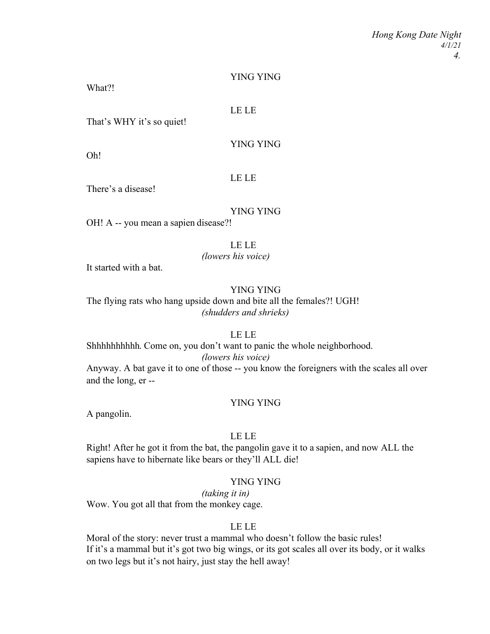#### YING YING

What?!

#### LE LE

That's WHY it's so quiet!

# YING YING

Oh!

# LE LE

There's a disease!

# YING YING

OH! A -- you mean a sapien disease?!

# LE LE

# *(lowers his voice)*

It started with a bat.

# YING YING

The flying rats who hang upside down and bite all the females?! UGH! *(shudders and shrieks)*

#### LE LE

Shhhhhhhhhh. Come on, you don't want to panic the whole neighborhood. *(lowers his voice)*

Anyway. A bat gave it to one of those -- you know the foreigners with the scales all over and the long, er --

#### YING YING

A pangolin.

## LE LE

Right! After he got it from the bat, the pangolin gave it to a sapien, and now ALL the sapiens have to hibernate like bears or they'll ALL die!

# YING YING

*(taking it in)* Wow. You got all that from the monkey cage.

#### LE LE

Moral of the story: never trust a mammal who doesn't follow the basic rules! If it's a mammal but it's got two big wings, or its got scales all over its body, or it walks on two legs but it's not hairy, just stay the hell away!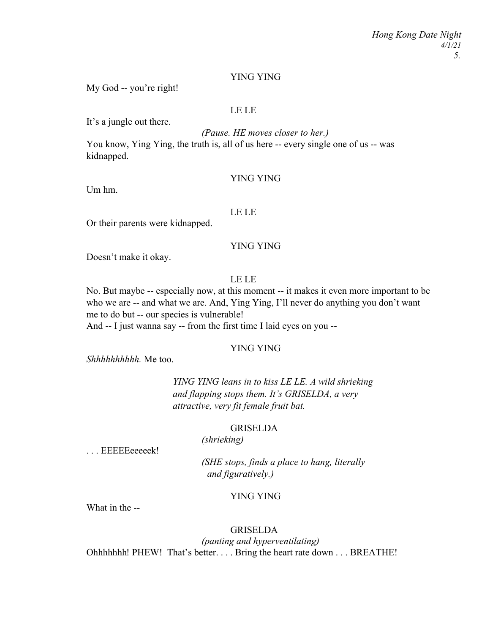# YING YING

My God -- you're right!

# LE LE

It's a jungle out there.

*(Pause. HE moves closer to her.)* You know, Ying Ying, the truth is, all of us here -- every single one of us -- was kidnapped.

#### YING YING

Um hm.

## LE LE

Or their parents were kidnapped.

# YING YING

Doesn't make it okay.

LE LE

No. But maybe -- especially now, at this moment -- it makes it even more important to be who we are -- and what we are. And, Ying Ying, I'll never do anything you don't want me to do but -- our species is vulnerable! And -- I just wanna say -- from the first time I laid eyes on you --

# YING YING

*Shhhhhhhhhh.* Me too.

*YING YING leans in to kiss LE LE. A wild shrieking and flapping stops them. It's GRISELDA, a very attractive, very fit female fruit bat.*

# GRISELDA

*(shrieking)*

. . . EEEEEeeeeek!

*(SHE stops, finds a place to hang, literally and figuratively.)*

# YING YING

What in the --

# GRISELDA

*(panting and hyperventilating)* Ohhhhhhh! PHEW! That's better. . . . Bring the heart rate down . . . BREATHE!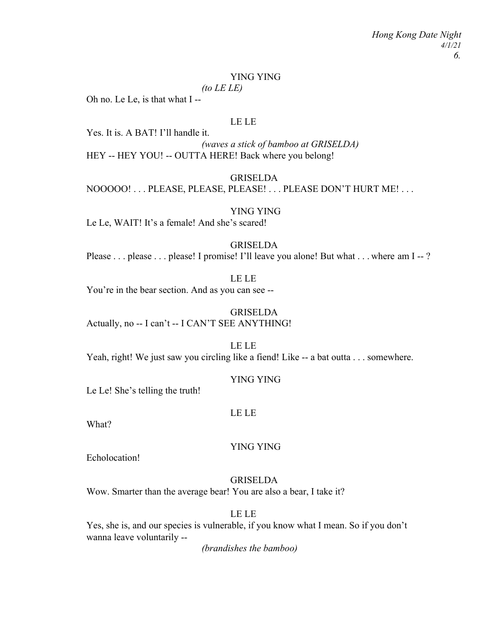#### YING YING

*(to LE LE)*

Oh no. Le Le, is that what I --

## LE LE

Yes. It is. A BAT! I'll handle it.

*(waves a stick of bamboo at GRISELDA)* HEY -- HEY YOU! -- OUTTA HERE! Back where you belong!

#### GRISELDA

NOOOOO! . . . PLEASE, PLEASE, PLEASE! . . . PLEASE DON'T HURT ME! . . .

# YING YING

Le Le, WAIT! It's a female! And she's scared!

# GRISELDA

Please . . . please . . . please! I promise! I'll leave you alone! But what . . . where am I --?

# LE LE

You're in the bear section. And as you can see --

# **GRISELDA**

Actually, no -- I can't -- I CAN'T SEE ANYTHING!

# LE LE

Yeah, right! We just saw you circling like a fiend! Like -- a bat outta . . . somewhere.

#### YING YING

Le Le! She's telling the truth!

#### LE LE

What?

#### YING YING

Echolocation!

# GRISELDA

Wow. Smarter than the average bear! You are also a bear, I take it?

# LE LE

Yes, she is, and our species is vulnerable, if you know what I mean. So if you don't wanna leave voluntarily --

*(brandishes the bamboo)*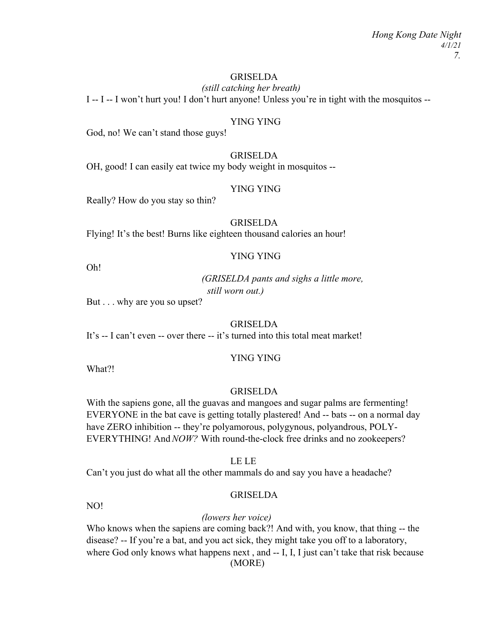# **GRISELDA**

*(still catching her breath)* I -- I -- I won't hurt you! I don't hurt anyone! Unless you're in tight with the mosquitos --

# YING YING

God, no! We can't stand those guys!

# GRISELDA

OH, good! I can easily eat twice my body weight in mosquitos --

# YING YING

Really? How do you stay so thin?

# GRISELDA

Flying! It's the best! Burns like eighteen thousand calories an hour!

# YING YING

Oh!

*(GRISELDA pants and sighs a little more, still worn out.)*

But . . . why are you so upset?

# **GRISELDA**

It's -- I can't even -- over there -- it's turned into this total meat market!

#### YING YING

What?!

#### **GRISELDA**

With the sapiens gone, all the guavas and mangoes and sugar palms are fermenting! EVERYONE in the bat cave is getting totally plastered! And -- bats -- on a normal day have ZERO inhibition -- they're polyamorous, polygynous, polyandrous, POLY-EVERYTHING! And *NOW?* With round-the-clock free drinks and no zookeepers?

#### LE LE

Can't you just do what all the other mammals do and say you have a headache?

# GRISELDA

NO!

# *(lowers her voice)*

Who knows when the sapiens are coming back?! And with, you know, that thing -- the disease? -- If you're a bat, and you act sick, they might take you off to a laboratory, where God only knows what happens next, and -- I, I, I just can't take that risk because (MORE)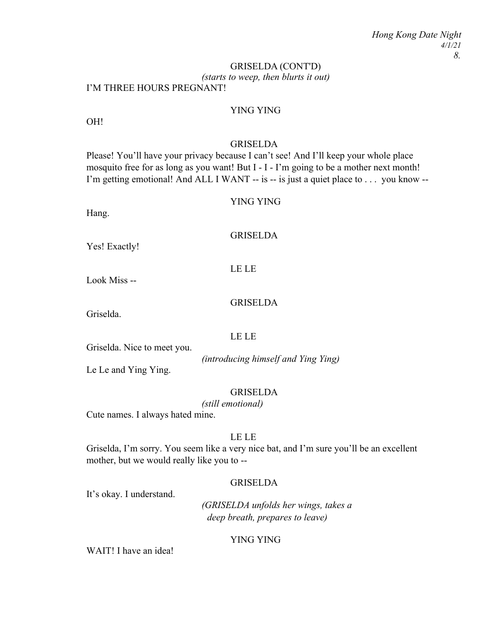# *(starts to weep, then blurts it out)* I'M THREE HOURS PREGNANT! GRISELDA (CONT'D)

# YING YING

OH!

#### GRISELDA

Please! You'll have your privacy because I can't see! And I'll keep your whole place mosquito free for as long as you want! But I - I - I'm going to be a mother next month! I'm getting emotional! And ALL I WANT -- is -- is just a quiet place to . . . you know --

#### YING YING

Hang.

**GRISELDA** 

Yes! Exactly!

LE LE

Look Miss --

#### **GRISELDA**

Griselda.

#### LE LE

Griselda. Nice to meet you.

Le Le and Ying Ying.

#### GRISELDA

*(introducing himself and Ying Ying)*

*(still emotional)*

Cute names. I always hated mine.

# LE LE

Griselda, I'm sorry. You seem like a very nice bat, and I'm sure you'll be an excellent mother, but we would really like you to --

#### GRISELDA

It's okay. I understand.

*(GRISELDA unfolds her wings, takes a deep breath, prepares to leave)*

#### YING YING

WAIT! I have an idea!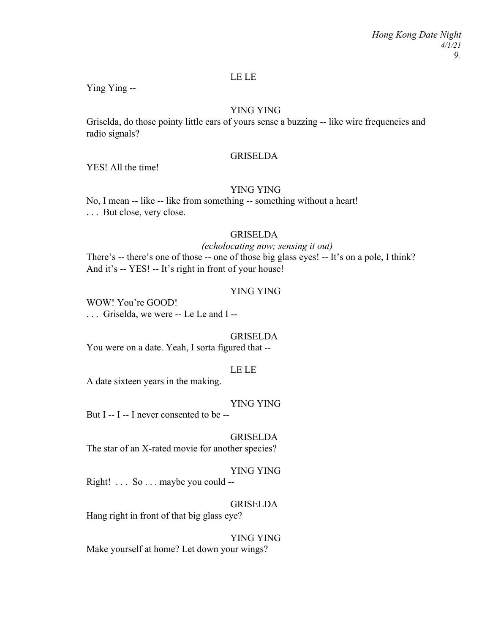#### LE LE

Ying Ying --

# YING YING

Griselda, do those pointy little ears of yours sense a buzzing -- like wire frequencies and radio signals?

# GRISELDA

YES! All the time!

## YING YING

No, I mean -- like -- like from something -- something without a heart! . . . But close, very close.

# GRISELDA

*(echolocating now; sensing it out)* There's -- there's one of those -- one of those big glass eyes! -- It's on a pole, I think? And it's -- YES! -- It's right in front of your house!

#### YING YING

WOW! You're GOOD! . . . Griselda, we were -- Le Le and I --

#### GRISELDA

You were on a date. Yeah, I sorta figured that --

#### LE LE

A date sixteen years in the making.

#### YING YING

But  $I - I - I$  never consented to be  $-$ 

## **GRISELDA**

The star of an X-rated movie for another species?

#### YING YING

Right! . . . So . . . maybe you could --

#### **GRISELDA**

Hang right in front of that big glass eye?

#### YING YING

Make yourself at home? Let down your wings?